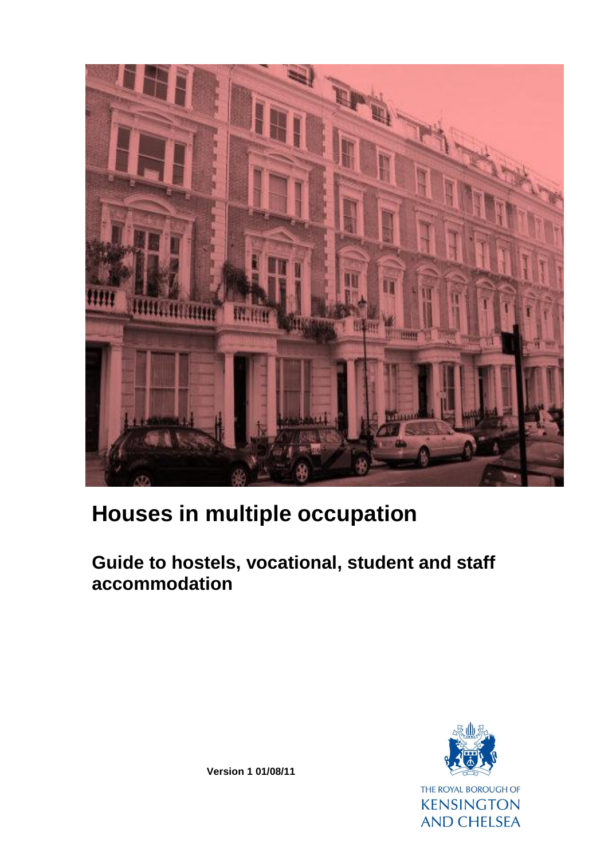

# **Houses in multiple occupation**

## **Guide to hostels, vocational, student and staff accommodation**



**Version 1 01/08/11**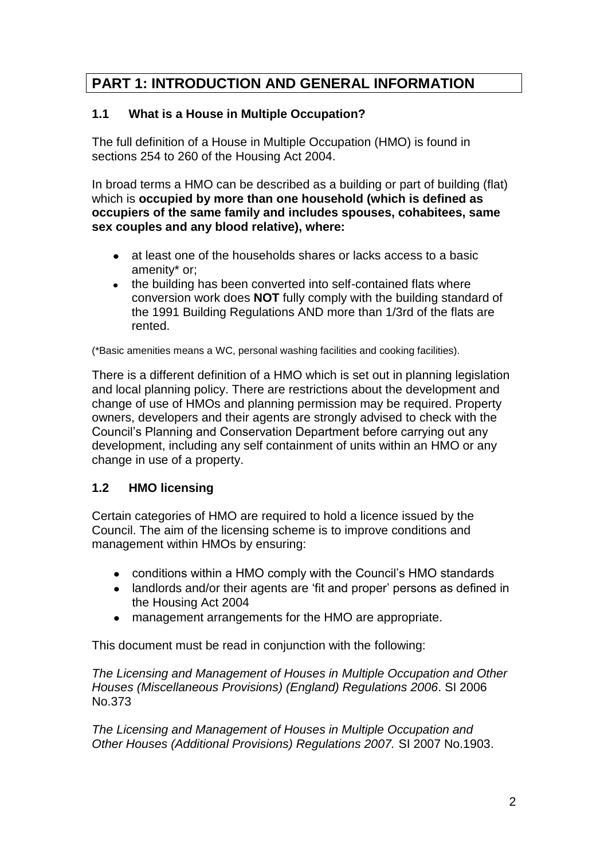## **PART 1: INTRODUCTION AND GENERAL INFORMATION**

#### **1.1 What is a House in Multiple Occupation?**

The full definition of a House in Multiple Occupation (HMO) is found in sections 254 to 260 of the Housing Act 2004.

In broad terms a HMO can be described as a building or part of building (flat) which is **occupied by more than one household (which is defined as occupiers of the same family and includes spouses, cohabitees, same sex couples and any blood relative), where:**

- at least one of the households shares or lacks access to a basic amenity\* or;
- the building has been converted into self-contained flats where conversion work does **NOT** fully comply with the building standard of the 1991 Building Regulations AND more than 1/3rd of the flats are rented.

(\*Basic amenities means a WC, personal washing facilities and cooking facilities).

There is a different definition of a HMO which is set out in planning legislation and local planning policy. There are restrictions about the development and change of use of HMOs and planning permission may be required. Property owners, developers and their agents are strongly advised to check with the Council"s Planning and Conservation Department before carrying out any development, including any self containment of units within an HMO or any change in use of a property.

#### **1.2 HMO licensing**

Certain categories of HMO are required to hold a licence issued by the Council. The aim of the licensing scheme is to improve conditions and management within HMOs by ensuring:

- conditions within a HMO comply with the Council's HMO standards
- landlords and/or their agents are 'fit and proper' persons as defined in the Housing Act 2004
- management arrangements for the HMO are appropriate.

This document must be read in conjunction with the following:

*The Licensing and Management of Houses in Multiple Occupation and Other Houses (Miscellaneous Provisions) (England) Regulations 2006*. SI 2006 No.373

*The Licensing and Management of Houses in Multiple Occupation and Other Houses (Additional Provisions) Regulations 2007.* SI 2007 No.1903.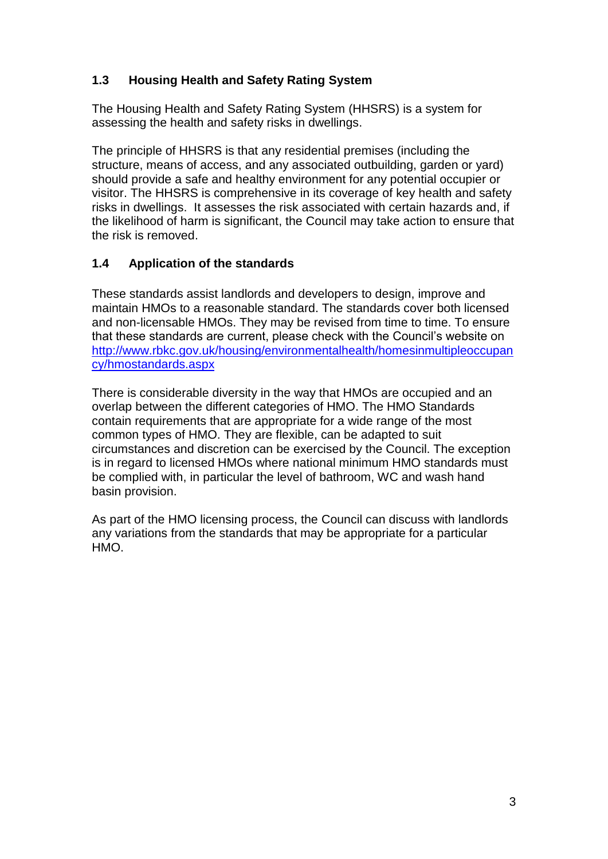## **1.3 Housing Health and Safety Rating System**

The Housing Health and Safety Rating System (HHSRS) is a system for assessing the health and safety risks in dwellings.

The principle of HHSRS is that any residential premises (including the structure, means of access, and any associated outbuilding, garden or yard) should provide a safe and healthy environment for any potential occupier or visitor. The HHSRS is comprehensive in its coverage of key health and safety risks in dwellings. It assesses the risk associated with certain hazards and, if the likelihood of harm is significant, the Council may take action to ensure that the risk is removed.

#### **1.4 Application of the standards**

These standards assist landlords and developers to design, improve and maintain HMOs to a reasonable standard. The standards cover both licensed and non-licensable HMOs. They may be revised from time to time. To ensure that these standards are current, please check with the Council"s website on [http://www.rbkc.gov.uk/housing/environmentalhealth/homesinmultipleoccupan](http://www.rbkc.gov.uk/housing/environmentalhealth/homesinmultipleoccupancy/hmostandards.aspx) [cy/hmostandards.aspx](http://www.rbkc.gov.uk/housing/environmentalhealth/homesinmultipleoccupancy/hmostandards.aspx)

There is considerable diversity in the way that HMOs are occupied and an overlap between the different categories of HMO. The HMO Standards contain requirements that are appropriate for a wide range of the most common types of HMO. They are flexible, can be adapted to suit circumstances and discretion can be exercised by the Council. The exception is in regard to licensed HMOs where national minimum HMO standards must be complied with, in particular the level of bathroom, WC and wash hand basin provision.

As part of the HMO licensing process, the Council can discuss with landlords any variations from the standards that may be appropriate for a particular HMO.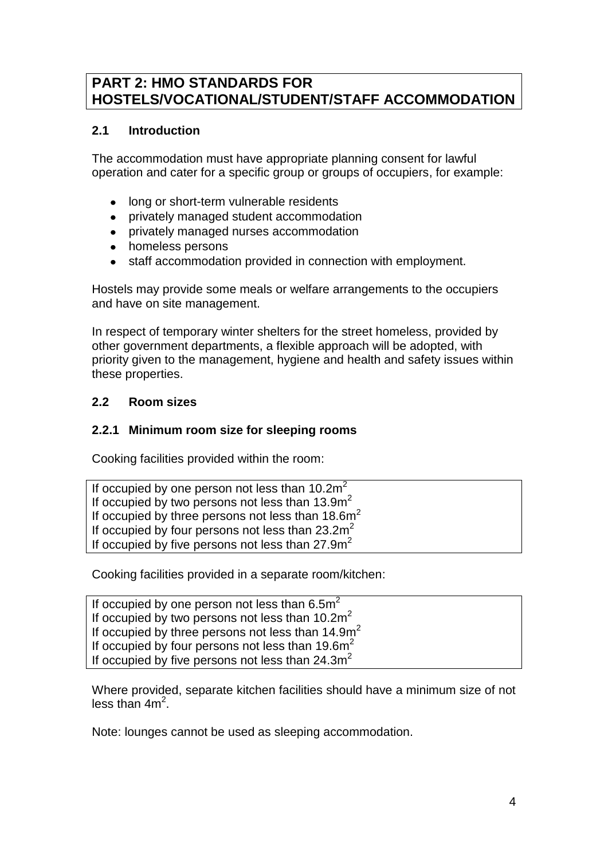## **PART 2: HMO STANDARDS FOR HOSTELS/VOCATIONAL/STUDENT/STAFF ACCOMMODATION**

#### **2.1 Introduction**

The accommodation must have appropriate planning consent for lawful operation and cater for a specific group or groups of occupiers, for example:

- long or short-term vulnerable residents  $\bullet$
- privately managed student accommodation
- privately managed nurses accommodation
- $\bullet$ homeless persons
- staff accommodation provided in connection with employment.

Hostels may provide some meals or welfare arrangements to the occupiers and have on site management.

In respect of temporary winter shelters for the street homeless, provided by other government departments, a flexible approach will be adopted, with priority given to the management, hygiene and health and safety issues within these properties.

#### **2.2 Room sizes**

#### **2.2.1 Minimum room size for sleeping rooms**

Cooking facilities provided within the room:

| If occupied by one person not less than $10.2m2$    |  |
|-----------------------------------------------------|--|
| If occupied by two persons not less than $13.9m^2$  |  |
| If occupied by three persons not less than $18.6m2$ |  |
| If occupied by four persons not less than $23.2m2$  |  |
| If occupied by five persons not less than $27.9m2$  |  |

Cooking facilities provided in a separate room/kitchen:

If occupied by one person not less than  $6.5m<sup>2</sup>$ If occupied by two persons not less than 10.2m<sup>2</sup> If occupied by three persons not less than 14.9m<sup>2</sup> If occupied by four persons not less than 19.6m<sup>2</sup> If occupied by five persons not less than  $24.3m<sup>2</sup>$ 

Where provided, separate kitchen facilities should have a minimum size of not less than  $4m^2$ .

Note: lounges cannot be used as sleeping accommodation.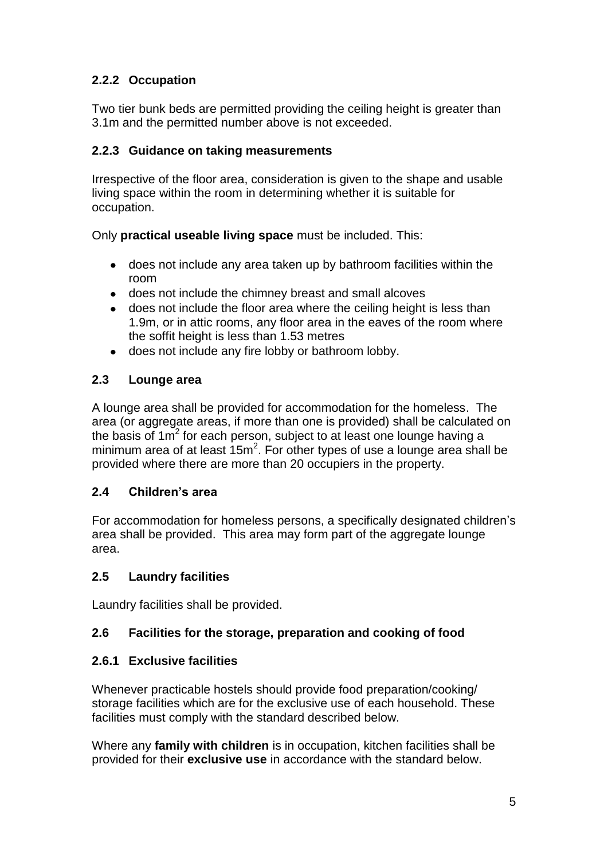## **2.2.2 Occupation**

Two tier bunk beds are permitted providing the ceiling height is greater than 3.1m and the permitted number above is not exceeded.

#### **2.2.3 Guidance on taking measurements**

Irrespective of the floor area, consideration is given to the shape and usable living space within the room in determining whether it is suitable for occupation.

Only **practical useable living space** must be included. This:

- does not include any area taken up by bathroom facilities within the room
- does not include the chimney breast and small alcoves
- does not include the floor area where the ceiling height is less than 1.9m, or in attic rooms, any floor area in the eaves of the room where the soffit height is less than 1.53 metres
- does not include any fire lobby or bathroom lobby.  $\bullet$

#### **2.3 Lounge area**

A lounge area shall be provided for accommodation for the homeless. The area (or aggregate areas, if more than one is provided) shall be calculated on the basis of  $1m^2$  for each person, subject to at least one lounge having a minimum area of at least  $15m^2$ . For other types of use a lounge area shall be provided where there are more than 20 occupiers in the property.

## **2.4 Children's area**

For accommodation for homeless persons, a specifically designated children"s area shall be provided. This area may form part of the aggregate lounge area.

#### **2.5 Laundry facilities**

Laundry facilities shall be provided.

## **2.6 Facilities for the storage, preparation and cooking of food**

#### **2.6.1 Exclusive facilities**

Whenever practicable hostels should provide food preparation/cooking/ storage facilities which are for the exclusive use of each household. These facilities must comply with the standard described below.

Where any **family with children** is in occupation, kitchen facilities shall be provided for their **exclusive use** in accordance with the standard below.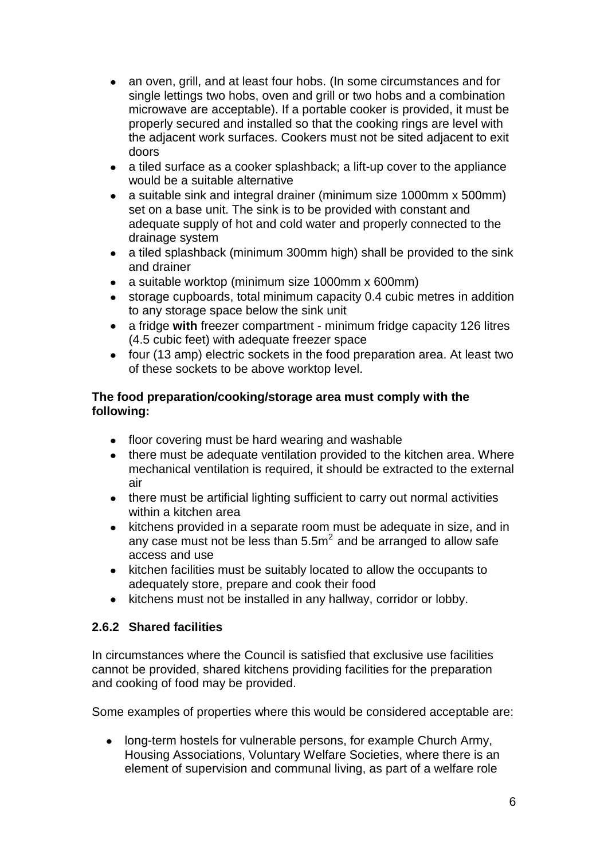- an oven, grill, and at least four hobs. (In some circumstances and for  $\bullet$ single lettings two hobs, oven and grill or two hobs and a combination microwave are acceptable). If a portable cooker is provided, it must be properly secured and installed so that the cooking rings are level with the adjacent work surfaces. Cookers must not be sited adjacent to exit doors
- a tiled surface as a cooker splashback; a lift-up cover to the appliance  $\bullet$ would be a suitable alternative
- a suitable sink and integral drainer (minimum size 1000mm x 500mm)  $\bullet$ set on a base unit. The sink is to be provided with constant and adequate supply of hot and cold water and properly connected to the drainage system
- a tiled splashback (minimum 300mm high) shall be provided to the sink  $\bullet$ and drainer
- a suitable worktop (minimum size 1000mm x 600mm)  $\bullet$
- storage cupboards, total minimum capacity 0.4 cubic metres in addition  $\bullet$ to any storage space below the sink unit
- a fridge **with** freezer compartment minimum fridge capacity 126 litres (4.5 cubic feet) with adequate freezer space
- four (13 amp) electric sockets in the food preparation area. At least two of these sockets to be above worktop level.

#### **The food preparation/cooking/storage area must comply with the following:**

- floor covering must be hard wearing and washable
- there must be adequate ventilation provided to the kitchen area. Where mechanical ventilation is required, it should be extracted to the external air
- there must be artificial lighting sufficient to carry out normal activities within a kitchen area
- kitchens provided in a separate room must be adequate in size, and in  $\bullet$ any case must not be less than  $5.5<sup>2</sup>$  and be arranged to allow safe access and use
- kitchen facilities must be suitably located to allow the occupants to  $\bullet$ adequately store, prepare and cook their food
- $\bullet$ kitchens must not be installed in any hallway, corridor or lobby.

#### **2.6.2 Shared facilities**

In circumstances where the Council is satisfied that exclusive use facilities cannot be provided, shared kitchens providing facilities for the preparation and cooking of food may be provided.

Some examples of properties where this would be considered acceptable are:

• long-term hostels for vulnerable persons, for example Church Army, Housing Associations, Voluntary Welfare Societies, where there is an element of supervision and communal living, as part of a welfare role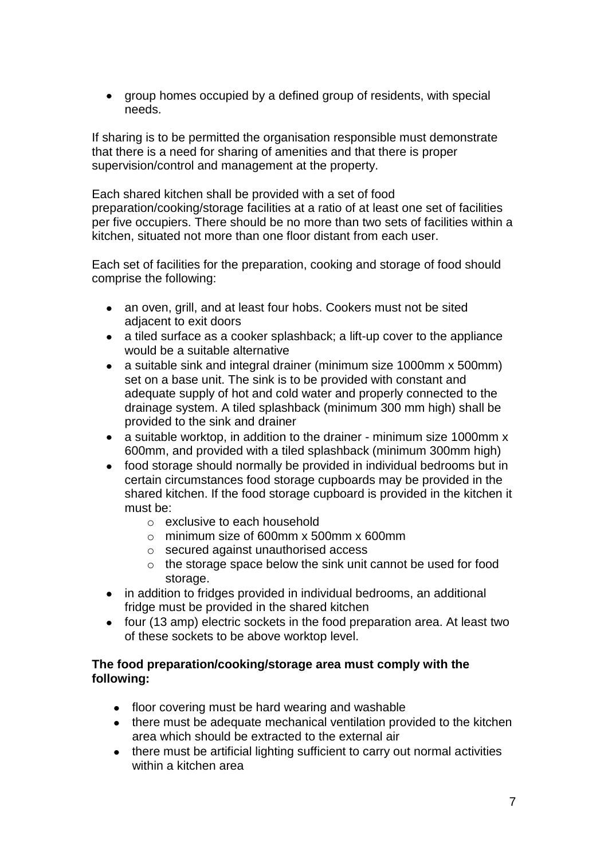group homes occupied by a defined group of residents, with special needs.

If sharing is to be permitted the organisation responsible must demonstrate that there is a need for sharing of amenities and that there is proper supervision/control and management at the property.

Each shared kitchen shall be provided with a set of food preparation/cooking/storage facilities at a ratio of at least one set of facilities per five occupiers. There should be no more than two sets of facilities within a kitchen, situated not more than one floor distant from each user.

Each set of facilities for the preparation, cooking and storage of food should comprise the following:

- an oven, grill, and at least four hobs. Cookers must not be sited adjacent to exit doors
- a tiled surface as a cooker splashback; a lift-up cover to the appliance would be a suitable alternative
- a suitable sink and integral drainer (minimum size 1000mm x 500mm) set on a base unit. The sink is to be provided with constant and adequate supply of hot and cold water and properly connected to the drainage system. A tiled splashback (minimum 300 mm high) shall be provided to the sink and drainer
- a suitable worktop, in addition to the drainer minimum size 1000mm x 600mm, and provided with a tiled splashback (minimum 300mm high)
- food storage should normally be provided in individual bedrooms but in certain circumstances food storage cupboards may be provided in the shared kitchen. If the food storage cupboard is provided in the kitchen it must be:
	- o exclusive to each household
	- $\circ$  minimum size of 600mm x 500mm x 600mm
	- o secured against unauthorised access
	- o the storage space below the sink unit cannot be used for food storage.
- in addition to fridges provided in individual bedrooms, an additional fridge must be provided in the shared kitchen
- four (13 amp) electric sockets in the food preparation area. At least two of these sockets to be above worktop level.

#### **The food preparation/cooking/storage area must comply with the following:**

- floor covering must be hard wearing and washable
- there must be adequate mechanical ventilation provided to the kitchen area which should be extracted to the external air
- there must be artificial lighting sufficient to carry out normal activities within a kitchen area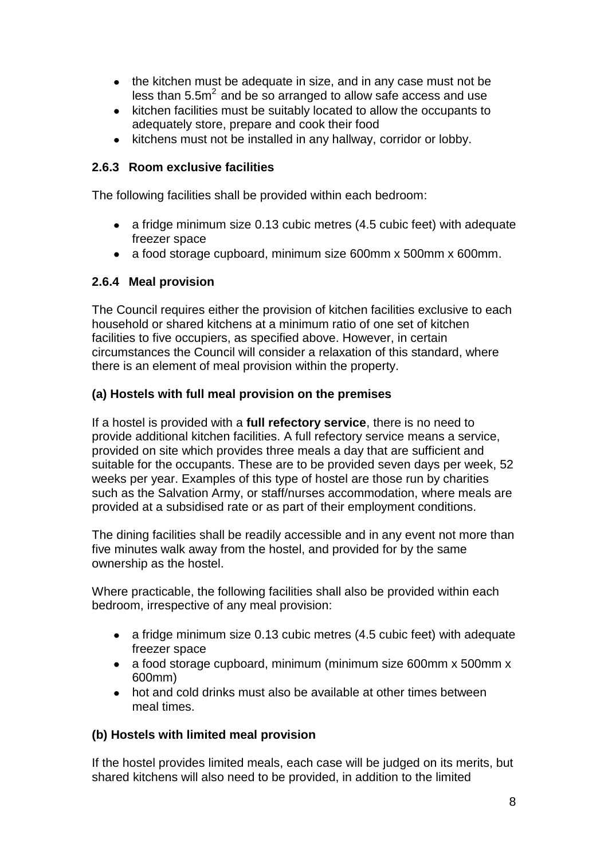- the kitchen must be adequate in size, and in any case must not be less than  $5.5m<sup>2</sup>$  and be so arranged to allow safe access and use
- kitchen facilities must be suitably located to allow the occupants to adequately store, prepare and cook their food
- kitchens must not be installed in any hallway, corridor or lobby.

#### **2.6.3 Room exclusive facilities**

The following facilities shall be provided within each bedroom:

- a fridge minimum size 0.13 cubic metres (4.5 cubic feet) with adequate freezer space
- a food storage cupboard, minimum size 600mm x 500mm x 600mm.

#### **2.6.4 Meal provision**

The Council requires either the provision of kitchen facilities exclusive to each household or shared kitchens at a minimum ratio of one set of kitchen facilities to five occupiers, as specified above. However, in certain circumstances the Council will consider a relaxation of this standard, where there is an element of meal provision within the property.

#### **(a) Hostels with full meal provision on the premises**

If a hostel is provided with a **full refectory service**, there is no need to provide additional kitchen facilities. A full refectory service means a service, provided on site which provides three meals a day that are sufficient and suitable for the occupants. These are to be provided seven days per week, 52 weeks per year. Examples of this type of hostel are those run by charities such as the Salvation Army, or staff/nurses accommodation, where meals are provided at a subsidised rate or as part of their employment conditions.

The dining facilities shall be readily accessible and in any event not more than five minutes walk away from the hostel, and provided for by the same ownership as the hostel.

Where practicable, the following facilities shall also be provided within each bedroom, irrespective of any meal provision:

- a fridge minimum size 0.13 cubic metres (4.5 cubic feet) with adequate freezer space
- a food storage cupboard, minimum (minimum size 600mm x 500mm x 600mm)
- hot and cold drinks must also be available at other times between meal times.

#### **(b) Hostels with limited meal provision**

If the hostel provides limited meals, each case will be judged on its merits, but shared kitchens will also need to be provided, in addition to the limited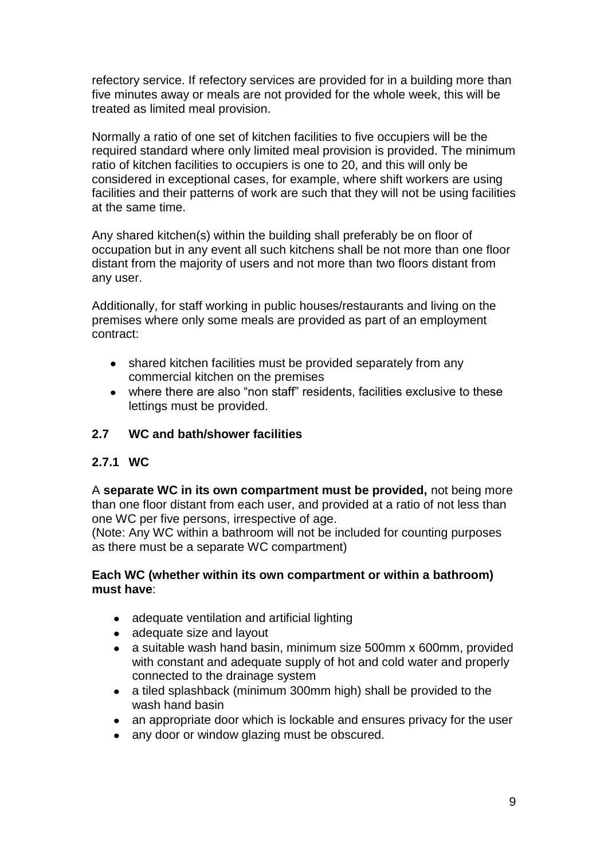refectory service. If refectory services are provided for in a building more than five minutes away or meals are not provided for the whole week, this will be treated as limited meal provision.

Normally a ratio of one set of kitchen facilities to five occupiers will be the required standard where only limited meal provision is provided. The minimum ratio of kitchen facilities to occupiers is one to 20, and this will only be considered in exceptional cases, for example, where shift workers are using facilities and their patterns of work are such that they will not be using facilities at the same time.

Any shared kitchen(s) within the building shall preferably be on floor of occupation but in any event all such kitchens shall be not more than one floor distant from the majority of users and not more than two floors distant from any user.

Additionally, for staff working in public houses/restaurants and living on the premises where only some meals are provided as part of an employment contract:

- shared kitchen facilities must be provided separately from any commercial kitchen on the premises
- where there are also "non staff" residents, facilities exclusive to these lettings must be provided.

#### **2.7 WC and bath/shower facilities**

#### **2.7.1 WC**

A **separate WC in its own compartment must be provided,** not being more than one floor distant from each user, and provided at a ratio of not less than one WC per five persons, irrespective of age.

(Note: Any WC within a bathroom will not be included for counting purposes as there must be a separate WC compartment)

#### **Each WC (whether within its own compartment or within a bathroom) must have**:

- adequate ventilation and artificial lighting
- adequate size and layout
- a suitable wash hand basin, minimum size 500mm x 600mm, provided  $\bullet$ with constant and adequate supply of hot and cold water and properly connected to the drainage system
- a tiled splashback (minimum 300mm high) shall be provided to the wash hand basin
- an appropriate door which is lockable and ensures privacy for the user
- any door or window glazing must be obscured.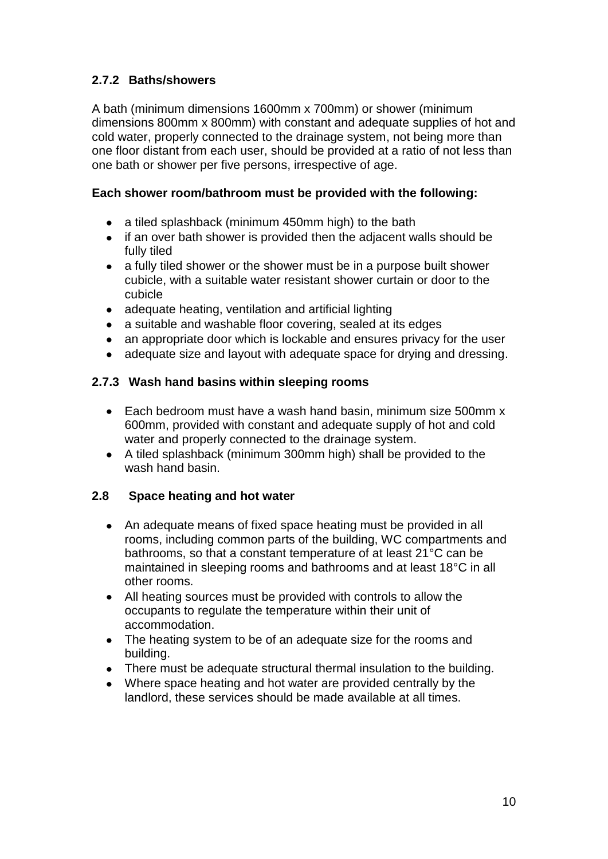## **2.7.2 Baths/showers**

A bath (minimum dimensions 1600mm x 700mm) or shower (minimum dimensions 800mm x 800mm) with constant and adequate supplies of hot and cold water, properly connected to the drainage system, not being more than one floor distant from each user, should be provided at a ratio of not less than one bath or shower per five persons, irrespective of age.

#### **Each shower room/bathroom must be provided with the following:**

- a tiled splashback (minimum 450mm high) to the bath
- if an over bath shower is provided then the adjacent walls should be fully tiled
- a fully tiled shower or the shower must be in a purpose built shower cubicle, with a suitable water resistant shower curtain or door to the cubicle
- adequate heating, ventilation and artificial lighting
- a suitable and washable floor covering, sealed at its edges
- an appropriate door which is lockable and ensures privacy for the user
- adequate size and layout with adequate space for drying and dressing.

#### **2.7.3 Wash hand basins within sleeping rooms**

- Each bedroom must have a wash hand basin, minimum size 500mm x 600mm, provided with constant and adequate supply of hot and cold water and properly connected to the drainage system.
- A tiled splashback (minimum 300mm high) shall be provided to the wash hand basin.

#### **2.8 Space heating and hot water**

- An adequate means of fixed space heating must be provided in all rooms, including common parts of the building, WC compartments and bathrooms, so that a constant temperature of at least 21°C can be maintained in sleeping rooms and bathrooms and at least 18°C in all other rooms.
- All heating sources must be provided with controls to allow the occupants to regulate the temperature within their unit of accommodation.
- The heating system to be of an adequate size for the rooms and building.
- There must be adequate structural thermal insulation to the building.
- Where space heating and hot water are provided centrally by the landlord, these services should be made available at all times.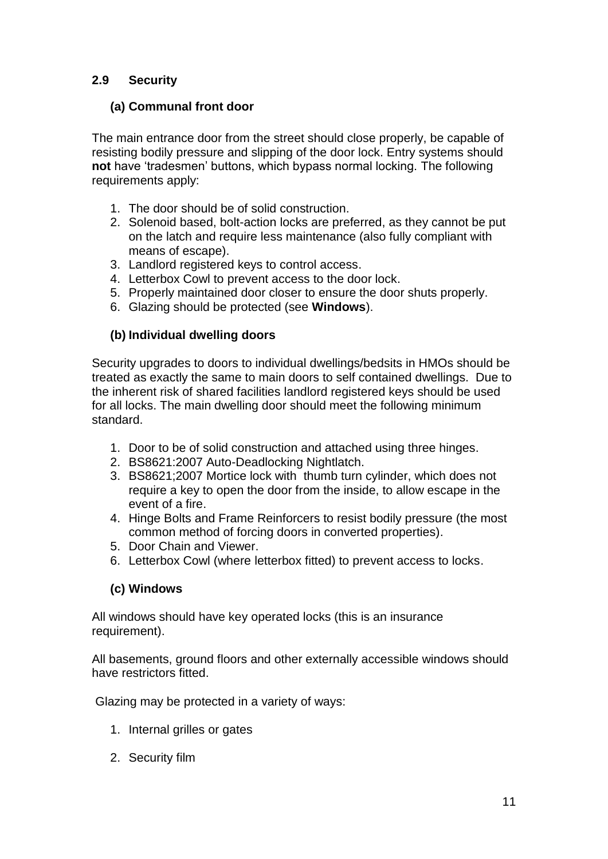## **2.9 Security**

#### **(a) Communal front door**

The main entrance door from the street should close properly, be capable of resisting bodily pressure and slipping of the door lock. Entry systems should **not** have "tradesmen" buttons, which bypass normal locking. The following requirements apply:

- 1. The door should be of solid construction.
- 2. Solenoid based, bolt-action locks are preferred, as they cannot be put on the latch and require less maintenance (also fully compliant with means of escape).
- 3. Landlord registered keys to control access.
- 4. Letterbox Cowl to prevent access to the door lock.
- 5. Properly maintained door closer to ensure the door shuts properly.
- 6. Glazing should be protected (see **Windows**).

#### **(b) Individual dwelling doors**

Security upgrades to doors to individual dwellings/bedsits in HMOs should be treated as exactly the same to main doors to self contained dwellings. Due to the inherent risk of shared facilities landlord registered keys should be used for all locks. The main dwelling door should meet the following minimum standard.

- 1. Door to be of solid construction and attached using three hinges.
- 2. BS8621:2007 Auto-Deadlocking Nightlatch.
- 3. BS8621;2007 Mortice lock with thumb turn cylinder, which does not require a key to open the door from the inside, to allow escape in the event of a fire.
- 4. Hinge Bolts and Frame Reinforcers to resist bodily pressure (the most common method of forcing doors in converted properties).
- 5. Door Chain and Viewer.
- 6. Letterbox Cowl (where letterbox fitted) to prevent access to locks.

#### **(c) Windows**

All windows should have key operated locks (this is an insurance requirement).

All basements, ground floors and other externally accessible windows should have restrictors fitted.

Glazing may be protected in a variety of ways:

- 1. Internal grilles or gates
- 2. Security film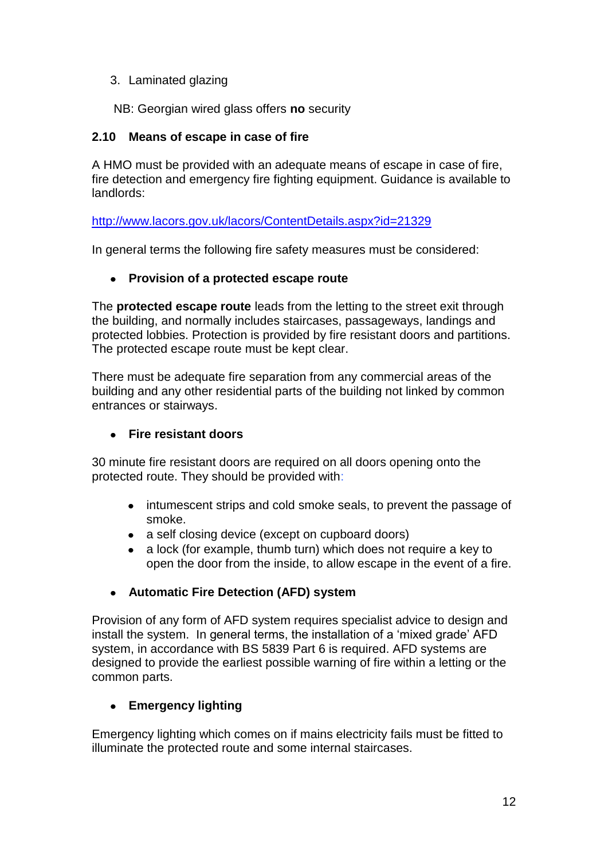#### 3. Laminated glazing

NB: Georgian wired glass offers **no** security

#### **2.10 Means of escape in case of fire**

A HMO must be provided with an adequate means of escape in case of fire, fire detection and emergency fire fighting equipment. Guidance is available to landlords:

<http://www.lacors.gov.uk/lacors/ContentDetails.aspx?id=21329>

In general terms the following fire safety measures must be considered:

#### **Provision of a protected escape route**

The **protected escape route** leads from the letting to the street exit through the building, and normally includes staircases, passageways, landings and protected lobbies. Protection is provided by fire resistant doors and partitions. The protected escape route must be kept clear.

There must be adequate fire separation from any commercial areas of the building and any other residential parts of the building not linked by common entrances or stairways.

#### **Fire resistant doors**

30 minute fire resistant doors are required on all doors opening onto the protected route. They should be provided with:

- intumescent strips and cold smoke seals, to prevent the passage of smoke.
- a self closing device (except on cupboard doors)
- a lock (for example, thumb turn) which does not require a key to open the door from the inside, to allow escape in the event of a fire.

#### **Automatic Fire Detection (AFD) system**

Provision of any form of AFD system requires specialist advice to design and install the system. In general terms, the installation of a "mixed grade" AFD system, in accordance with BS 5839 Part 6 is required. AFD systems are designed to provide the earliest possible warning of fire within a letting or the common parts.

#### **Emergency lighting**

Emergency lighting which comes on if mains electricity fails must be fitted to illuminate the protected route and some internal staircases.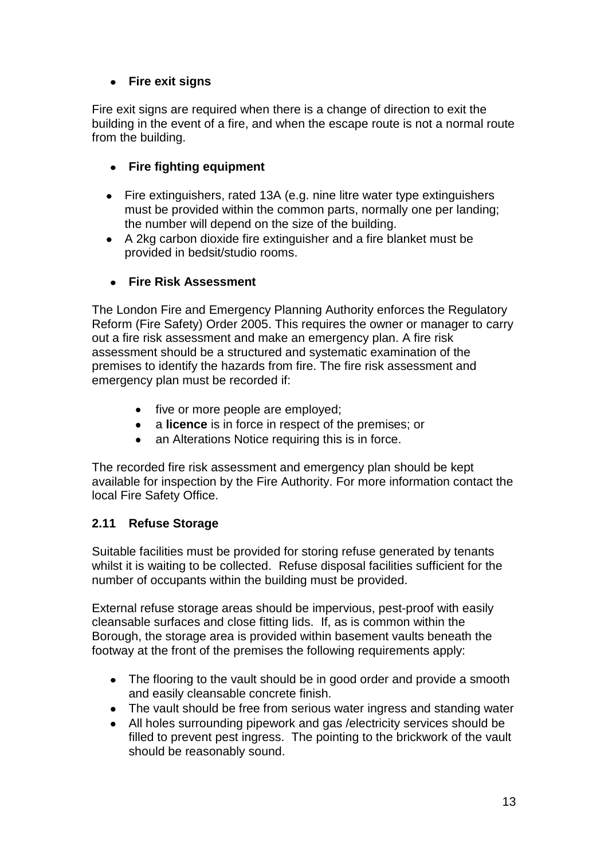## **Fire exit signs**

Fire exit signs are required when there is a change of direction to exit the building in the event of a fire, and when the escape route is not a normal route from the building.

#### **Fire fighting equipment**

- Fire extinguishers, rated 13A (e.g. nine litre water type extinguishers must be provided within the common parts, normally one per landing; the number will depend on the size of the building.
- A 2kg carbon dioxide fire extinguisher and a fire blanket must be provided in bedsit/studio rooms.

#### **Fire Risk Assessment**

The London Fire and Emergency Planning Authority enforces the Regulatory Reform (Fire Safety) Order 2005. This requires the owner or manager to carry out a fire risk assessment and make an emergency plan. A fire risk assessment should be a structured and systematic examination of the premises to identify the hazards from fire. The fire risk assessment and emergency plan must be recorded if:

- five or more people are employed;
- a **licence** is in force in respect of the premises; or
- an Alterations Notice requiring this is in force.

The recorded fire risk assessment and emergency plan should be kept available for inspection by the Fire Authority. For more information contact the local Fire Safety Office.

#### **2.11 Refuse Storage**

Suitable facilities must be provided for storing refuse generated by tenants whilst it is waiting to be collected. Refuse disposal facilities sufficient for the number of occupants within the building must be provided.

External refuse storage areas should be impervious, pest-proof with easily cleansable surfaces and close fitting lids. If, as is common within the Borough, the storage area is provided within basement vaults beneath the footway at the front of the premises the following requirements apply:

- The flooring to the vault should be in good order and provide a smooth and easily cleansable concrete finish.
- The vault should be free from serious water ingress and standing water
- All holes surrounding pipework and gas /electricity services should be filled to prevent pest ingress. The pointing to the brickwork of the vault should be reasonably sound.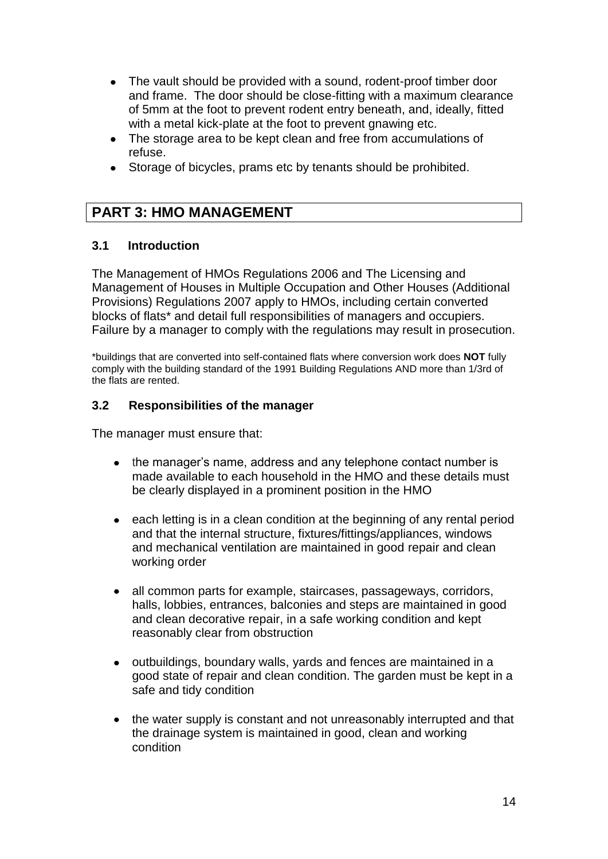- The vault should be provided with a sound, rodent-proof timber door and frame. The door should be close-fitting with a maximum clearance of 5mm at the foot to prevent rodent entry beneath, and, ideally, fitted with a metal kick-plate at the foot to prevent gnawing etc.
- The storage area to be kept clean and free from accumulations of refuse.
- Storage of bicycles, prams etc by tenants should be prohibited.

## **PART 3: HMO MANAGEMENT**

#### **3.1 Introduction**

The Management of HMOs Regulations 2006 and The Licensing and Management of Houses in Multiple Occupation and Other Houses (Additional Provisions) Regulations 2007 apply to HMOs, including certain converted blocks of flats\* and detail full responsibilities of managers and occupiers. Failure by a manager to comply with the regulations may result in prosecution.

\*buildings that are converted into self-contained flats where conversion work does **NOT** fully comply with the building standard of the 1991 Building Regulations AND more than 1/3rd of the flats are rented.

#### **3.2 Responsibilities of the manager**

The manager must ensure that:

- the manager's name, address and any telephone contact number is made available to each household in the HMO and these details must be clearly displayed in a prominent position in the HMO
- each letting is in a clean condition at the beginning of any rental period and that the internal structure, fixtures/fittings/appliances, windows and mechanical ventilation are maintained in good repair and clean working order
- $\bullet$ all common parts for example, staircases, passageways, corridors, halls, lobbies, entrances, balconies and steps are maintained in good and clean decorative repair, in a safe working condition and kept reasonably clear from obstruction
- outbuildings, boundary walls, yards and fences are maintained in a good state of repair and clean condition. The garden must be kept in a safe and tidy condition
- the water supply is constant and not unreasonably interrupted and that the drainage system is maintained in good, clean and working condition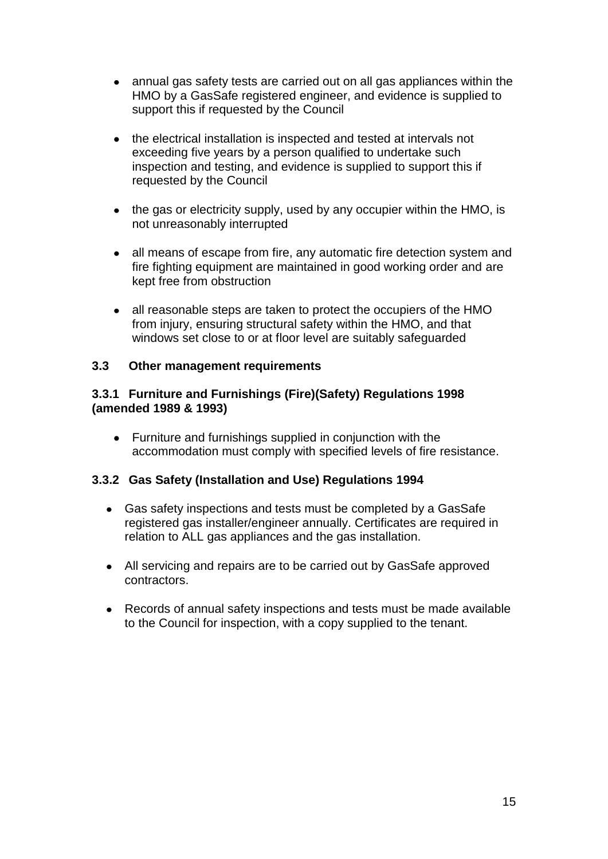- annual gas safety tests are carried out on all gas appliances within the HMO by a GasSafe registered engineer, and evidence is supplied to support this if requested by the Council
- the electrical installation is inspected and tested at intervals not exceeding five years by a person qualified to undertake such inspection and testing, and evidence is supplied to support this if requested by the Council
- the gas or electricity supply, used by any occupier within the HMO, is not unreasonably interrupted
- all means of escape from fire, any automatic fire detection system and fire fighting equipment are maintained in good working order and are kept free from obstruction
- all reasonable steps are taken to protect the occupiers of the HMO from injury, ensuring structural safety within the HMO, and that windows set close to or at floor level are suitably safeguarded

#### **3.3 Other management requirements**

#### **3.3.1 Furniture and Furnishings (Fire)(Safety) Regulations 1998 (amended 1989 & 1993)**

Furniture and furnishings supplied in conjunction with the accommodation must comply with specified levels of fire resistance.

#### **3.3.2 Gas Safety (Installation and Use) Regulations 1994**

- Gas safety inspections and tests must be completed by a GasSafe registered gas installer/engineer annually. Certificates are required in relation to ALL gas appliances and the gas installation.
- All servicing and repairs are to be carried out by GasSafe approved contractors.
- Records of annual safety inspections and tests must be made available to the Council for inspection, with a copy supplied to the tenant.